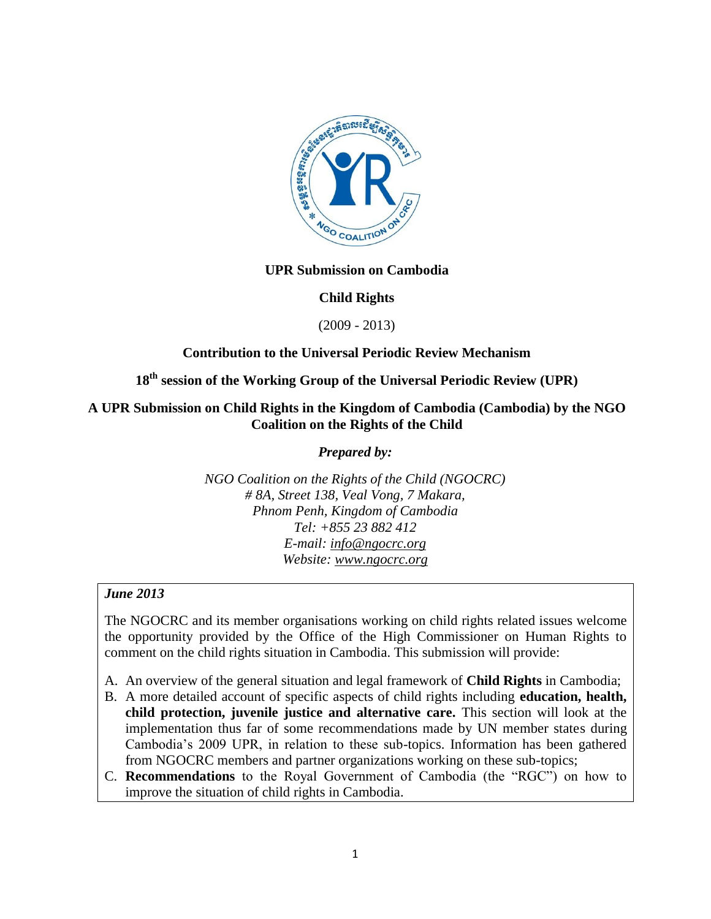

### **UPR Submission on Cambodia**

### **Child Rights**

(2009 - 2013)

### **Contribution to the Universal Periodic Review Mechanism**

# **18th session of the Working Group of the Universal Periodic Review (UPR)**

### **A UPR Submission on Child Rights in the Kingdom of Cambodia (Cambodia) by the NGO Coalition on the Rights of the Child**

*Prepared by:*

*NGO Coalition on the Rights of the Child (NGOCRC) # 8A, Street 138, Veal Vong, 7 Makara, Phnom Penh, Kingdom of Cambodia Tel: +855 23 882 412 E-mail: [info@ngocrc.org](mailto:info@ngocrc.org) Website: [www.ngocrc.org](http://www.ngocrc.org/)*

### *June 2013*

The NGOCRC and its member organisations working on child rights related issues welcome the opportunity provided by the Office of the High Commissioner on Human Rights to comment on the child rights situation in Cambodia. This submission will provide:

- A. An overview of the general situation and legal framework of **Child Rights** in Cambodia;
- B. A more detailed account of specific aspects of child rights including **education, health, child protection, juvenile justice and alternative care.** This section will look at the implementation thus far of some recommendations made by UN member states during Cambodia's 2009 UPR, in relation to these sub-topics. Information has been gathered from NGOCRC members and partner organizations working on these sub-topics;
- C. **Recommendations** to the Royal Government of Cambodia (the "RGC") on how to improve the situation of child rights in Cambodia.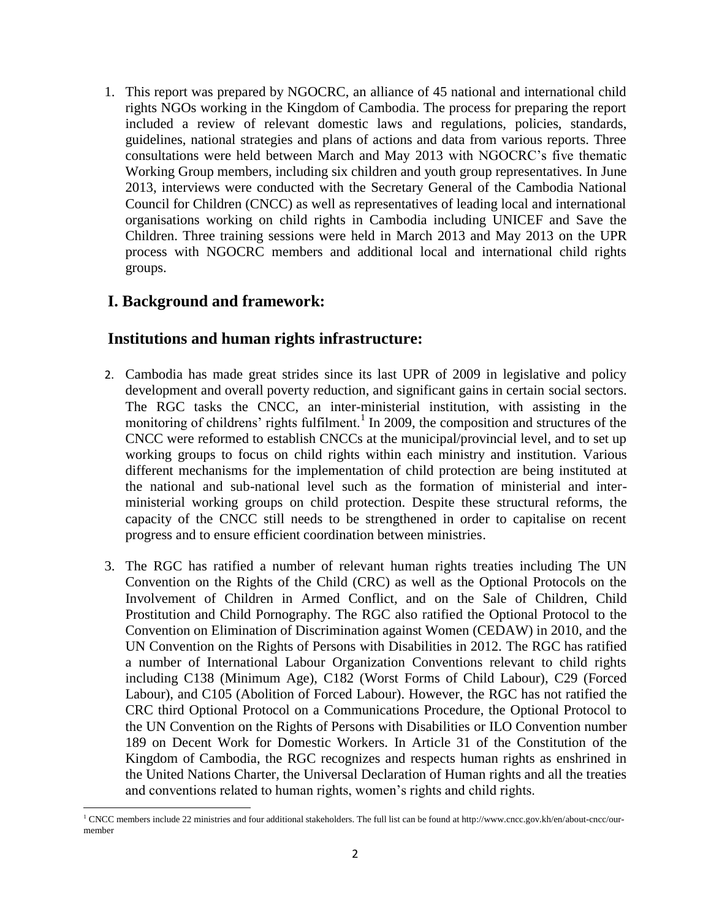1. This report was prepared by NGOCRC, an alliance of 45 national and international child rights NGOs working in the Kingdom of Cambodia. The process for preparing the report included a review of relevant domestic laws and regulations, policies, standards, guidelines, national strategies and plans of actions and data from various reports. Three consultations were held between March and May 2013 with NGOCRC's five thematic Working Group members, including six children and youth group representatives. In June 2013, interviews were conducted with the Secretary General of the Cambodia National Council for Children (CNCC) as well as representatives of leading local and international organisations working on child rights in Cambodia including UNICEF and Save the Children. Three training sessions were held in March 2013 and May 2013 on the UPR process with NGOCRC members and additional local and international child rights groups.

## **I. Background and framework:**

### **Institutions and human rights infrastructure:**

- 2. Cambodia has made great strides since its last UPR of 2009 in legislative and policy development and overall poverty reduction, and significant gains in certain social sectors. The RGC tasks the CNCC, an inter-ministerial institution, with assisting in the monitoring of childrens' rights fulfilment.<sup>1</sup> In 2009, the composition and structures of the CNCC were reformed to establish CNCCs at the municipal/provincial level, and to set up working groups to focus on child rights within each ministry and institution. Various different mechanisms for the implementation of child protection are being instituted at the national and sub-national level such as the formation of ministerial and interministerial working groups on child protection. Despite these structural reforms, the capacity of the CNCC still needs to be strengthened in order to capitalise on recent progress and to ensure efficient coordination between ministries.
- 3. The RGC has ratified a number of relevant human rights treaties including The UN Convention on the Rights of the Child (CRC) as well as the Optional Protocols on the Involvement of Children in Armed Conflict, and on the Sale of Children, Child Prostitution and Child Pornography. The RGC also ratified the Optional Protocol to the Convention on Elimination of Discrimination against Women (CEDAW) in 2010, and the UN Convention on the Rights of Persons with Disabilities in 2012. The RGC has ratified a number of International Labour Organization Conventions relevant to child rights including C138 (Minimum Age), C182 (Worst Forms of Child Labour), C29 (Forced Labour), and C105 (Abolition of Forced Labour). However, the RGC has not ratified the CRC third Optional Protocol on a Communications Procedure, the Optional Protocol to the UN Convention on the Rights of Persons with Disabilities or ILO Convention number 189 on Decent Work for Domestic Workers. In Article 31 of the Constitution of the Kingdom of Cambodia, the RGC recognizes and respects human rights as enshrined in the United Nations Charter, the Universal Declaration of Human rights and all the treaties and conventions related to human rights, women's rights and child rights.

l  $1$  CNCC members include 22 ministries and four additional stakeholders. The full list can be found at http://www.cncc.gov.kh/en/about-cncc/ourmember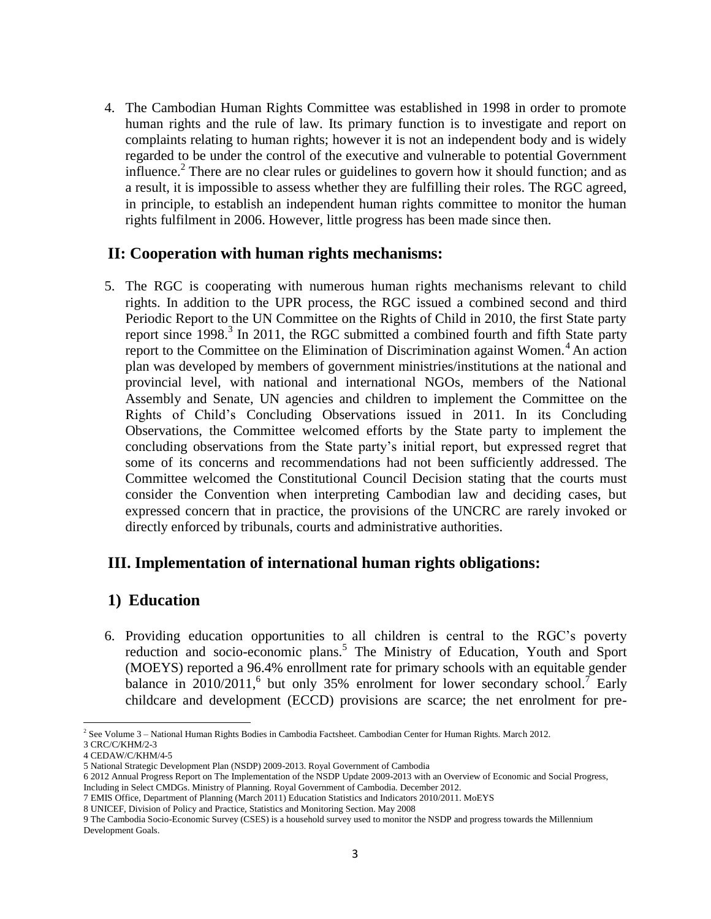4. The Cambodian Human Rights Committee was established in 1998 in order to promote human rights and the rule of law. Its primary function is to investigate and report on complaints relating to human rights; however it is not an independent body and is widely regarded to be under the control of the executive and vulnerable to potential Government influence.<sup>2</sup> There are no clear rules or guidelines to govern how it should function; and as a result, it is impossible to assess whether they are fulfilling their roles. The RGC agreed, in principle, to establish an independent human rights committee to monitor the human rights fulfilment in 2006. However, little progress has been made since then.

### **II: Cooperation with human rights mechanisms:**

5. The RGC is cooperating with numerous human rights mechanisms relevant to child rights. In addition to the UPR process, the RGC issued a combined second and third Periodic Report to the UN Committee on the Rights of Child in 2010, the first State party report since 1998. 3 In 2011, the RGC submitted a combined fourth and fifth State party report to the Committee on the Elimination of Discrimination against Women.<sup>4</sup> An action plan was developed by members of government ministries/institutions at the national and provincial level, with national and international NGOs, members of the National Assembly and Senate, UN agencies and children to implement the Committee on the Rights of Child's Concluding Observations issued in 2011. In its Concluding Observations, the Committee welcomed efforts by the State party to implement the concluding observations from the State party's initial report, but expressed regret that some of its concerns and recommendations had not been sufficiently addressed. The Committee welcomed the Constitutional Council Decision stating that the courts must consider the Convention when interpreting Cambodian law and deciding cases, but expressed concern that in practice, the provisions of the UNCRC are rarely invoked or directly enforced by tribunals, courts and administrative authorities.

# **III. Implementation of international human rights obligations:**

## **1) Education**

6. Providing education opportunities to all children is central to the RGC's poverty reduction and socio-economic plans.<sup>5</sup> The Ministry of Education, Youth and Sport (MOEYS) reported a 96.4% enrollment rate for primary schools with an equitable gender balance in 2010/2011,<sup>6</sup> but only 35% enrolment for lower secondary school.<sup>7</sup> Early childcare and development (ECCD) provisions are scarce; the net enrolment for pre-

l <sup>2</sup> See Volume 3 – National Human Rights Bodies in Cambodia Factsheet. Cambodian Center for Human Rights. March 2012. 3 CRC/C/KHM/2-3

<sup>4</sup> CEDAW/C/KHM/4-5

<sup>5</sup> National Strategic Development Plan (NSDP) 2009-2013. Royal Government of Cambodia

<sup>6</sup> 2012 Annual Progress Report on The Implementation of the NSDP Update 2009-2013 with an Overview of Economic and Social Progress, Including in Select CMDGs. Ministry of Planning. Royal Government of Cambodia. December 2012.

<sup>7</sup> EMIS Office, Department of Planning (March 2011) Education Statistics and Indicators 2010/2011. MoEYS

<sup>8</sup> UNICEF, Division of Policy and Practice, Statistics and Monitoring Section. May 2008

<sup>9</sup> The Cambodia Socio-Economic Survey (CSES) is a household survey used to monitor the NSDP and progress towards the Millennium Development Goals.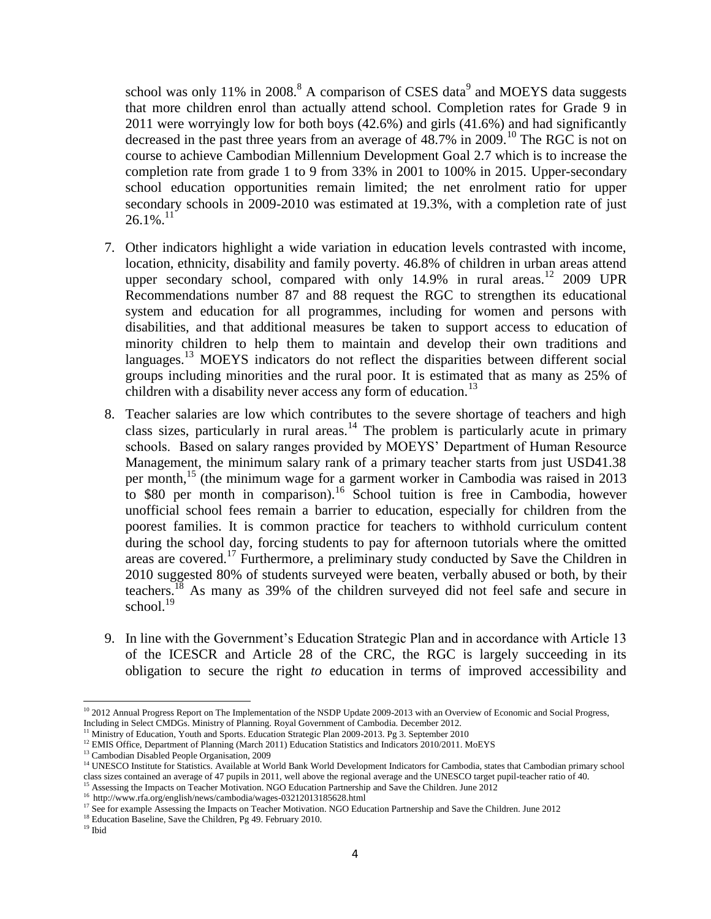school was only 11% in 2008.<sup>8</sup> A comparison of CSES data<sup>9</sup> and MOEYS data suggests that more children enrol than actually attend school. Completion rates for Grade 9 in 2011 were worryingly low for both boys (42.6%) and girls (41.6%) and had significantly decreased in the past three years from an average of  $48.7\%$  in 2009.<sup>10</sup> The RGC is not on course to achieve Cambodian Millennium Development Goal 2.7 which is to increase the completion rate from grade 1 to 9 from 33% in 2001 to 100% in 2015. Upper-secondary school education opportunities remain limited; the net enrolment ratio for upper secondary schools in 2009-2010 was estimated at 19.3%, with a completion rate of just  $26.1\%$ <sup>11</sup>

- 7. Other indicators highlight a wide variation in education levels contrasted with income, location, ethnicity, disability and family poverty. 46.8% of children in urban areas attend upper secondary school, compared with only  $14.9\%$  in rural areas.<sup>12</sup> 2009 UPR Recommendations number 87 and 88 request the RGC to strengthen its educational system and education for all programmes, including for women and persons with disabilities, and that additional measures be taken to support access to education of minority children to help them to maintain and develop their own traditions and languages.<sup>13</sup> MOEYS indicators do not reflect the disparities between different social groups including minorities and the rural poor. It is estimated that as many as 25% of children with a disability never access any form of education.<sup>13</sup>
- 8. Teacher salaries are low which contributes to the severe shortage of teachers and high class sizes, particularly in rural areas.<sup>14</sup> The problem is particularly acute in primary schools. Based on salary ranges provided by MOEYS' Department of Human Resource Management, the minimum salary rank of a primary teacher starts from just USD41.38 per month,<sup>15</sup> (the minimum wage for a garment worker in Cambodia was raised in 2013 to \$80 per month in comparison).<sup>16</sup> School tuition is free in Cambodia, however unofficial school fees remain a barrier to education, especially for children from the poorest families. It is common practice for teachers to withhold curriculum content during the school day, forcing students to pay for afternoon tutorials where the omitted areas are covered.<sup>17</sup> Furthermore, a preliminary study conducted by Save the Children in 2010 suggested 80% of students surveyed were beaten, verbally abused or both, by their teachers.<sup>18</sup> As many as 39% of the children surveyed did not feel safe and secure in school. $19$
- 9. In line with the Government's Education Strategic Plan and in accordance with Article 13 of the ICESCR and Article 28 of the CRC, the RGC is largely succeeding in its obligation to secure the right *to* education in terms of improved accessibility and

 $\overline{\phantom{a}}$ 

<sup>&</sup>lt;sup>10</sup> 2012 Annual Progress Report on The Implementation of the NSDP Update 2009-2013 with an Overview of Economic and Social Progress, Including in Select CMDGs. Ministry of Planning. Royal Government of Cambodia. December 2012.

<sup>&</sup>lt;sup>11</sup> Ministry of Education, Youth and Sports. Education Strategic Plan 2009-2013. Pg 3. September 2010

<sup>&</sup>lt;sup>12</sup> EMIS Office, Department of Planning (March 2011) Education Statistics and Indicators 2010/2011. MoEYS

<sup>&</sup>lt;sup>13</sup> Cambodian Disabled People Organisation, 2009

<sup>&</sup>lt;sup>14</sup> UNESCO Institute for Statistics. Available at World Bank World Development Indicators for Cambodia, states that Cambodian primary school class sizes contained an average of 47 pupils in 2011, well above the regional average and the UNESCO target pupil-teacher ratio of 40.

<sup>&</sup>lt;sup>15</sup> Assessing the Impacts on Teacher Motivation. NGO Education Partnership and Save the Children. June 2012

<sup>&</sup>lt;sup>16</sup> http://www.rfa.org/english/news/cambodia/wages-03212013185628.html

<sup>&</sup>lt;sup>17</sup> See for example Assessing the Impacts on Teacher Motivation. NGO Education Partnership and Save the Children. June 2012

<sup>&</sup>lt;sup>18</sup> Education Baseline, Save the Children, Pg 49. February 2010.

 $^{\rm 19}$ Ibid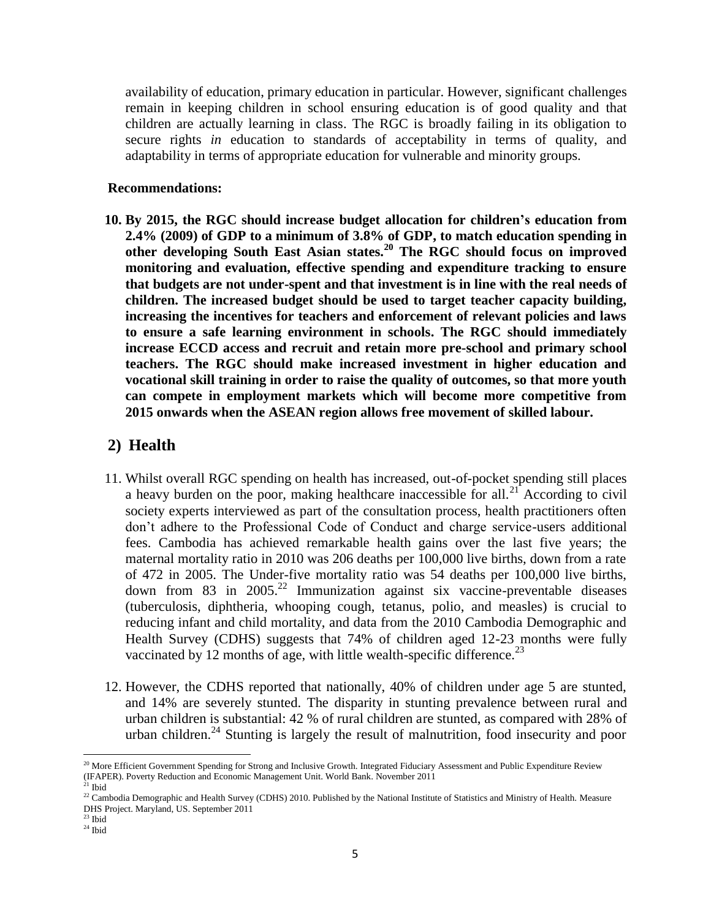availability of education, primary education in particular. However, significant challenges remain in keeping children in school ensuring education is of good quality and that children are actually learning in class. The RGC is broadly failing in its obligation to secure rights *in* education to standards of acceptability in terms of quality, and adaptability in terms of appropriate education for vulnerable and minority groups.

#### **Recommendations:**

**10. By 2015, the RGC should increase budget allocation for children's education from 2.4% (2009) of GDP to a minimum of 3.8% of GDP, to match education spending in other developing South East Asian states.<sup>20</sup> The RGC should focus on improved monitoring and evaluation, effective spending and expenditure tracking to ensure that budgets are not under-spent and that investment is in line with the real needs of children. The increased budget should be used to target teacher capacity building, increasing the incentives for teachers and enforcement of relevant policies and laws to ensure a safe learning environment in schools. The RGC should immediately increase ECCD access and recruit and retain more pre-school and primary school teachers. The RGC should make increased investment in higher education and vocational skill training in order to raise the quality of outcomes, so that more youth can compete in employment markets which will become more competitive from 2015 onwards when the ASEAN region allows free movement of skilled labour.** 

# **2) Health**

- 11. Whilst overall RGC spending on health has increased, out-of-pocket spending still places a heavy burden on the poor, making healthcare inaccessible for all.<sup>21</sup> According to civil society experts interviewed as part of the consultation process, health practitioners often don't adhere to the Professional Code of Conduct and charge service-users additional fees. Cambodia has achieved remarkable health gains over the last five years; the maternal mortality ratio in 2010 was 206 deaths per 100,000 live births, down from a rate of 472 in 2005. The Under-five mortality ratio was 54 deaths per 100,000 live births, down from 83 in  $2005.<sup>22</sup>$  Immunization against six vaccine-preventable diseases (tuberculosis, diphtheria, whooping cough, tetanus, polio, and measles) is crucial to reducing infant and child mortality, and data from the 2010 Cambodia Demographic and Health Survey (CDHS) suggests that 74% of children aged 12-23 months were fully vaccinated by 12 months of age, with little wealth-specific difference.<sup>23</sup>
- 12. However, the CDHS reported that nationally, 40% of children under age 5 are stunted, and 14% are severely stunted. The disparity in stunting prevalence between rural and urban children is substantial: 42 % of rural children are stunted, as compared with 28% of urban children.<sup>24</sup> Stunting is largely the result of malnutrition, food insecurity and poor

 $\overline{\phantom{a}}$ 

 $^{20}$  More Efficient Government Spending for Strong and Inclusive Growth. Integrated Fiduciary Assessment and Public Expenditure Review (IFAPER). Poverty Reduction and Economic Management Unit. World Bank. November 2011  $^{21}$  Ibid

<sup>&</sup>lt;sup>22</sup> Cambodia Demographic and Health Survey (CDHS) 2010. Published by the National Institute of Statistics and Ministry of Health. Measure DHS Project. Maryland, US. September 2011

 $23$  Ibid

 $24$  Ibid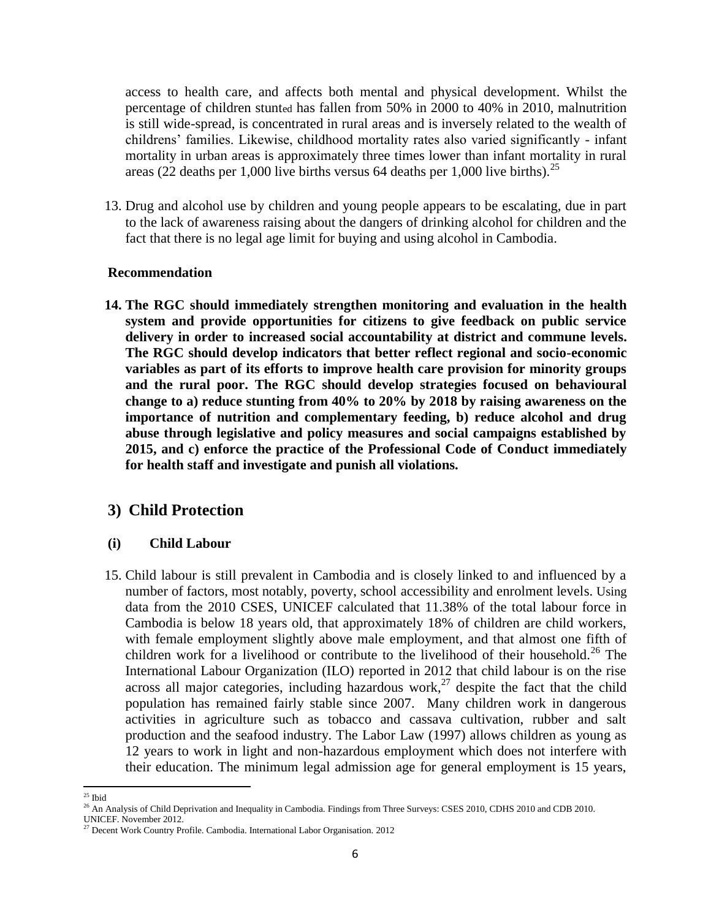access to health care, and affects both mental and physical development. Whilst the percentage of children stunted has fallen from 50% in 2000 to 40% in 2010, malnutrition is still wide-spread, is concentrated in rural areas and is inversely related to the wealth of childrens' families. Likewise, childhood mortality rates also varied significantly - infant mortality in urban areas is approximately three times lower than infant mortality in rural areas (22 deaths per 1,000 live births versus 64 deaths per 1,000 live births).<sup>25</sup>

13. Drug and alcohol use by children and young people appears to be escalating, due in part to the lack of awareness raising about the dangers of drinking alcohol for children and the fact that there is no legal age limit for buying and using alcohol in Cambodia.

#### **Recommendation**

**14. The RGC should immediately strengthen monitoring and evaluation in the health system and provide opportunities for citizens to give feedback on public service delivery in order to increased social accountability at district and commune levels. The RGC should develop indicators that better reflect regional and socio-economic variables as part of its efforts to improve health care provision for minority groups and the rural poor. The RGC should develop strategies focused on behavioural change to a) reduce stunting from 40% to 20% by 2018 by raising awareness on the importance of nutrition and complementary feeding, b) reduce alcohol and drug abuse through legislative and policy measures and social campaigns established by 2015, and c) enforce the practice of the Professional Code of Conduct immediately for health staff and investigate and punish all violations.** 

### **3) Child Protection**

### **(i) Child Labour**

15. Child labour is still prevalent in Cambodia and is closely linked to and influenced by a number of factors, most notably, poverty, school accessibility and enrolment levels. Using data from the 2010 CSES, UNICEF calculated that 11.38% of the total labour force in Cambodia is below 18 years old, that approximately 18% of children are child workers, with female employment slightly above male employment, and that almost one fifth of children work for a livelihood or contribute to the livelihood of their household.<sup>26</sup> The International Labour Organization (ILO) reported in 2012 that child labour is on the rise across all major categories, including hazardous work,<sup>27</sup> despite the fact that the child population has remained fairly stable since 2007. Many children work in dangerous activities in agriculture such as tobacco and cassava cultivation, rubber and salt production and the seafood industry. The Labor Law (1997) allows children as young as 12 years to work in light and non-hazardous employment which does not interfere with their education. The minimum legal admission age for general employment is 15 years,

l  $25$  Ibid

<sup>&</sup>lt;sup>26</sup> An Analysis of Child Deprivation and Inequality in Cambodia. Findings from Three Surveys: CSES 2010, CDHS 2010 and CDB 2010.

UNICEF. November 2012.

<sup>&</sup>lt;sup>27</sup> Decent Work Country Profile. Cambodia. International Labor Organisation. 2012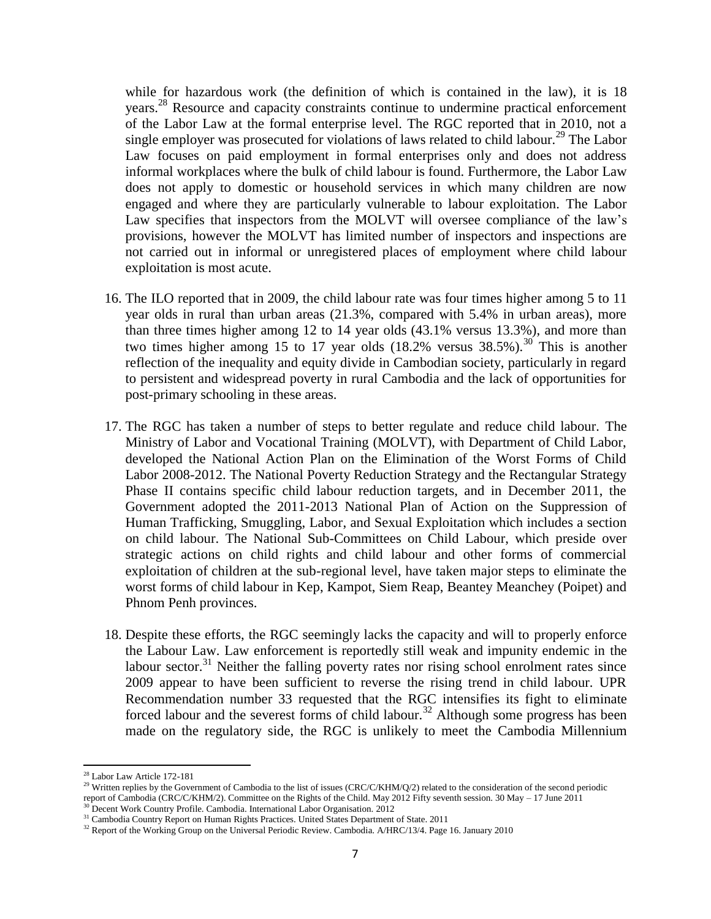while for hazardous work (the definition of which is contained in the law), it is 18 years.<sup>28</sup> Resource and capacity constraints continue to undermine practical enforcement of the Labor Law at the formal enterprise level. The RGC reported that in 2010, not a single employer was prosecuted for violations of laws related to child labour.<sup>29</sup> The Labor Law focuses on paid employment in formal enterprises only and does not address informal workplaces where the bulk of child labour is found. Furthermore, the Labor Law does not apply to domestic or household services in which many children are now engaged and where they are particularly vulnerable to labour exploitation. The Labor Law specifies that inspectors from the MOLVT will oversee compliance of the law's provisions, however the MOLVT has limited number of inspectors and inspections are not carried out in informal or unregistered places of employment where child labour exploitation is most acute.

- 16. The ILO reported that in 2009, the child labour rate was four times higher among 5 to 11 year olds in rural than urban areas (21.3%, compared with 5.4% in urban areas), more than three times higher among 12 to 14 year olds (43.1% versus 13.3%), and more than two times higher among 15 to 17 year olds  $(18.2\%$  versus  $38.5\%$ ).<sup>30</sup> This is another reflection of the inequality and equity divide in Cambodian society, particularly in regard to persistent and widespread poverty in rural Cambodia and the lack of opportunities for post-primary schooling in these areas.
- 17. The RGC has taken a number of steps to better regulate and reduce child labour. The Ministry of Labor and Vocational Training (MOLVT), with Department of Child Labor, developed the National Action Plan on the Elimination of the Worst Forms of Child Labor 2008-2012. The National Poverty Reduction Strategy and the Rectangular Strategy Phase II contains specific child labour reduction targets, and in December 2011, the Government adopted the 2011-2013 National Plan of Action on the Suppression of Human Trafficking, Smuggling, Labor, and Sexual Exploitation which includes a section on child labour. The National Sub-Committees on Child Labour, which preside over strategic actions on child rights and child labour and other forms of commercial exploitation of children at the sub-regional level, have taken major steps to eliminate the worst forms of child labour in Kep, Kampot, Siem Reap, Beantey Meanchey (Poipet) and Phnom Penh provinces.
- 18. Despite these efforts, the RGC seemingly lacks the capacity and will to properly enforce the Labour Law. Law enforcement is reportedly still weak and impunity endemic in the labour sector.<sup>31</sup> Neither the falling poverty rates nor rising school enrolment rates since 2009 appear to have been sufficient to reverse the rising trend in child labour. UPR Recommendation number 33 requested that the RGC intensifies its fight to eliminate forced labour and the severest forms of child labour.<sup>32</sup> Although some progress has been made on the regulatory side, the RGC is unlikely to meet the Cambodia Millennium

l

<sup>28</sup> Labor Law Article 172-181

<sup>&</sup>lt;sup>29</sup> Written replies by the Government of Cambodia to the list of issues (CRC/C/KHM/Q/2) related to the consideration of the second periodic report of Cambodia (CRC/C/KHM/2). Committee on the Rights of the Child. May 2012 Fifty seventh session. 30 May – 17 June 2011 Decent Work Country Profile. Cambodia. International Labor Organisation. 2012

<sup>&</sup>lt;sup>31</sup> Cambodia Country Report on Human Rights Practices. United States Department of State. 2011

<sup>&</sup>lt;sup>32</sup> Report of the Working Group on the Universal Periodic Review. Cambodia. A/HRC/13/4. Page 16. January 2010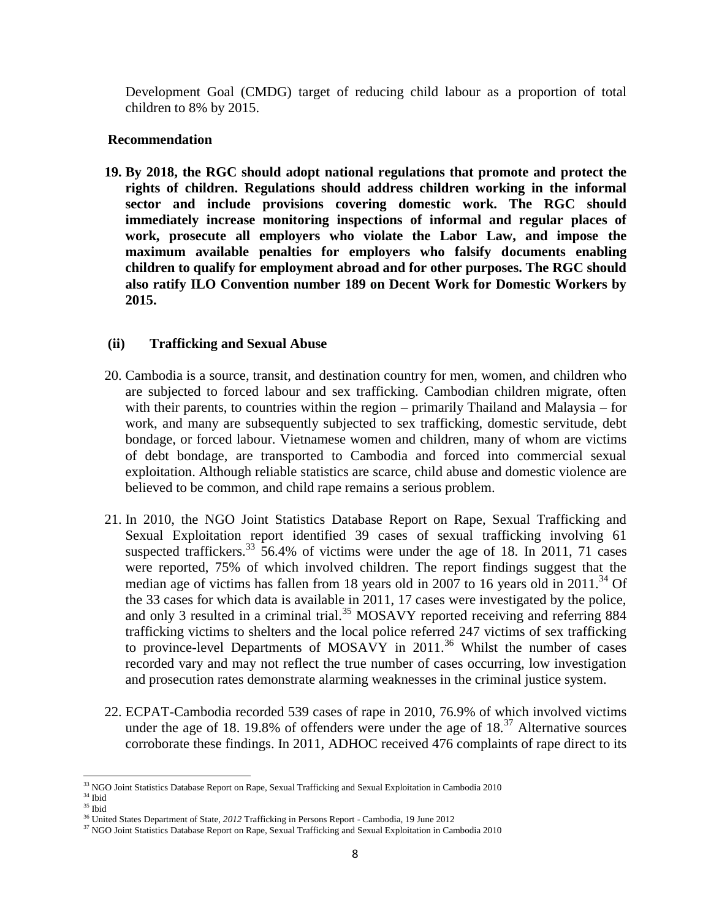Development Goal (CMDG) target of reducing child labour as a proportion of total children to 8% by 2015.

### **Recommendation**

**19. By 2018, the RGC should adopt national regulations that promote and protect the rights of children. Regulations should address children working in the informal sector and include provisions covering domestic work. The RGC should immediately increase monitoring inspections of informal and regular places of work, prosecute all employers who violate the Labor Law, and impose the maximum available penalties for employers who falsify documents enabling children to qualify for employment abroad and for other purposes. The RGC should also ratify ILO Convention number 189 on Decent Work for Domestic Workers by 2015.**

### **(ii) Trafficking and Sexual Abuse**

- 20. Cambodia is a source, transit, and destination country for men, women, and children who are subjected to forced labour and sex trafficking. Cambodian children migrate, often with their parents, to countries within the region – primarily Thailand and Malaysia – for work, and many are subsequently subjected to sex trafficking, domestic servitude, debt bondage, or forced labour. Vietnamese women and children, many of whom are victims of debt bondage, are transported to Cambodia and forced into commercial sexual exploitation. Although reliable statistics are scarce, child abuse and domestic violence are believed to be common, and child rape remains a serious problem.
- 21. In 2010, the NGO Joint Statistics Database Report on Rape, Sexual Trafficking and Sexual Exploitation report identified 39 cases of sexual trafficking involving 61 suspected traffickers.<sup>33</sup> 56.4% of victims were under the age of 18. In 2011, 71 cases were reported, 75% of which involved children. The report findings suggest that the median age of victims has fallen from 18 years old in 2007 to 16 years old in  $2011<sup>34</sup>$  Of the 33 cases for which data is available in 2011, 17 cases were investigated by the police, and only 3 resulted in a criminal trial.<sup>35</sup> MOSAVY reported receiving and referring 884 trafficking victims to shelters and the local police referred 247 victims of sex trafficking to province-level Departments of MOSAVY in 2011.<sup>36</sup> Whilst the number of cases recorded vary and may not reflect the true number of cases occurring, low investigation and prosecution rates demonstrate alarming weaknesses in the criminal justice system.
- 22. ECPAT-Cambodia recorded 539 cases of rape in 2010, 76.9% of which involved victims under the age of 18. 19.8% of offenders were under the age of  $18<sup>37</sup>$  Alternative sources corroborate these findings. In 2011, ADHOC received 476 complaints of rape direct to its

 $\overline{\phantom{a}}$ <sup>33</sup> NGO Joint Statistics Database Report on Rape, Sexual Trafficking and Sexual Exploitation in Cambodia 2010

<sup>34</sup> Ibid

 $^{\rm 35}$ Ibid

<sup>36</sup> United States Department of State, *2012* Trafficking in Persons Report - Cambodia, 19 June 2012

<sup>&</sup>lt;sup>37</sup> NGO Joint Statistics Database Report on Rape, Sexual Trafficking and Sexual Exploitation in Cambodia 2010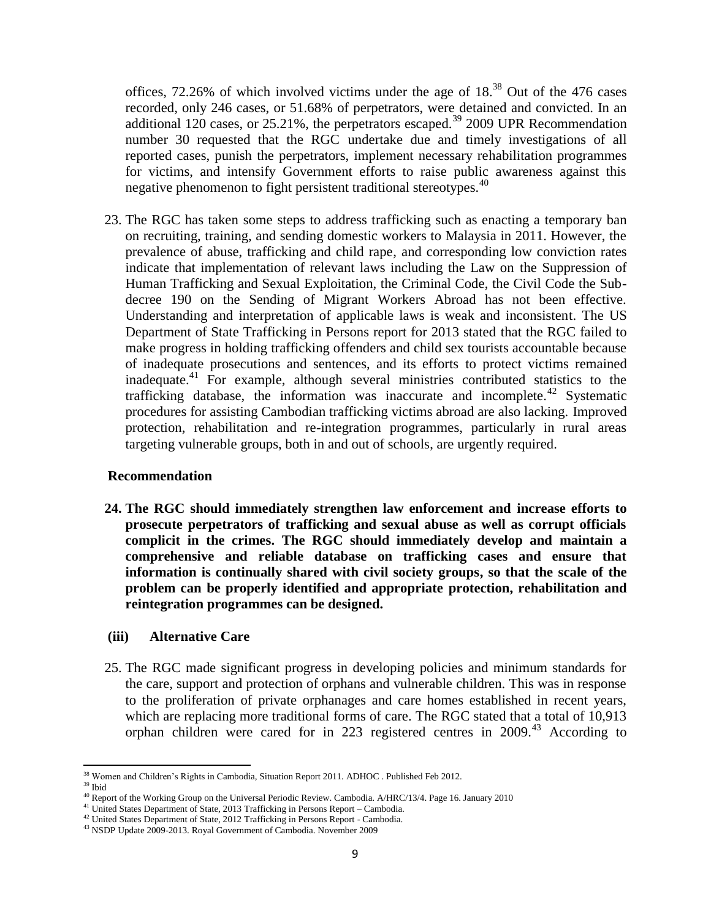offices,  $72.26\%$  of which involved victims under the age of  $18.<sup>38</sup>$  Out of the 476 cases recorded, only 246 cases, or 51.68% of perpetrators, were detained and convicted. In an additional 120 cases, or  $25.21\%$ , the perpetrators escaped.<sup>39</sup> 2009 UPR Recommendation number 30 requested that the RGC undertake due and timely investigations of all reported cases, punish the perpetrators, implement necessary rehabilitation programmes for victims, and intensify Government efforts to raise public awareness against this negative phenomenon to fight persistent traditional stereotypes.<sup>40</sup>

23. The RGC has taken some steps to address trafficking such as enacting a temporary ban on recruiting, training, and sending domestic workers to Malaysia in 2011. However, the prevalence of abuse, trafficking and child rape, and corresponding low conviction rates indicate that implementation of relevant laws including the Law on the Suppression of Human Trafficking and Sexual Exploitation, the Criminal Code, the Civil Code the Subdecree 190 on the Sending of Migrant Workers Abroad has not been effective. Understanding and interpretation of applicable laws is weak and inconsistent. The US Department of State Trafficking in Persons report for 2013 stated that the RGC failed to make progress in holding trafficking offenders and child sex tourists accountable because of inadequate prosecutions and sentences, and its efforts to protect victims remained inadequate.<sup>41</sup> For example, although several ministries contributed statistics to the trafficking database, the information was inaccurate and incomplete.<sup>42</sup> Systematic procedures for assisting Cambodian trafficking victims abroad are also lacking. Improved protection, rehabilitation and re-integration programmes, particularly in rural areas targeting vulnerable groups, both in and out of schools, are urgently required.

### **Recommendation**

**24. The RGC should immediately strengthen law enforcement and increase efforts to prosecute perpetrators of trafficking and sexual abuse as well as corrupt officials complicit in the crimes. The RGC should immediately develop and maintain a comprehensive and reliable database on trafficking cases and ensure that information is continually shared with civil society groups, so that the scale of the problem can be properly identified and appropriate protection, rehabilitation and reintegration programmes can be designed.** 

### **(iii) Alternative Care**

25. The RGC made significant progress in developing policies and minimum standards for the care, support and protection of orphans and vulnerable children. This was in response to the proliferation of private orphanages and care homes established in recent years, which are replacing more traditional forms of care. The RGC stated that a total of 10,913 orphan children were cared for in 223 registered centres in 2009.<sup>43</sup> According to

l <sup>38</sup> Women and Children's Rights in Cambodia, Situation Report 2011. ADHOC . Published Feb 2012.

<sup>39</sup> Ibid

<sup>&</sup>lt;sup>40</sup> Report of the Working Group on the Universal Periodic Review. Cambodia. A/HRC/13/4. Page 16. January 2010

<sup>41</sup> United States Department of State, 2013 Trafficking in Persons Report – Cambodia.

<sup>&</sup>lt;sup>42</sup> United States Department of State, 2012 Trafficking in Persons Report - Cambodia.

<sup>43</sup> NSDP Update 2009-2013. Royal Government of Cambodia. November 2009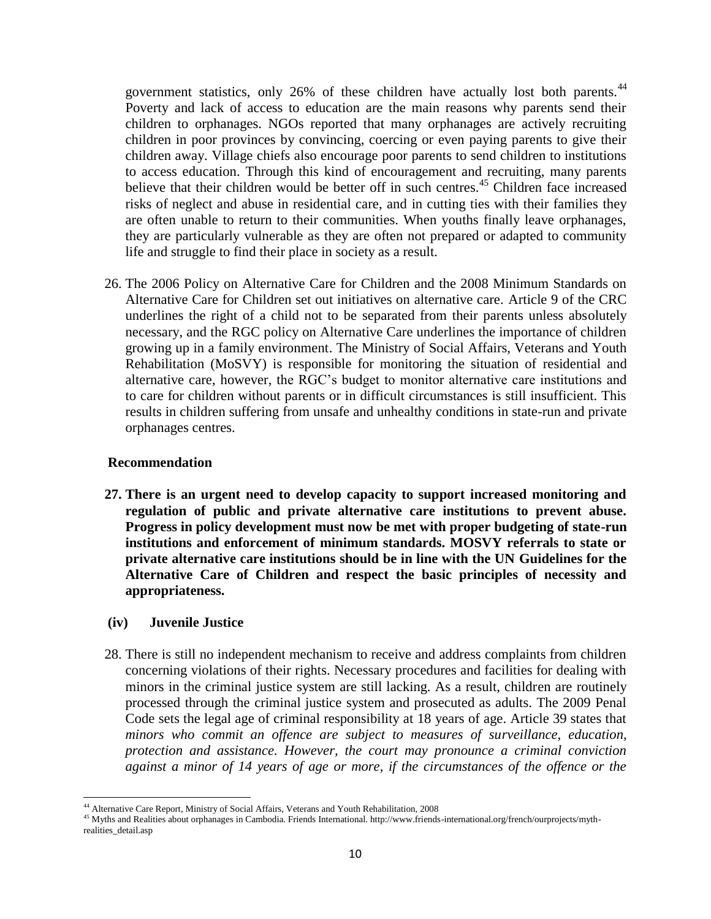government statistics, only 26% of these children have actually lost both parents.<sup>44</sup> Poverty and lack of access to education are the main reasons why parents send their children to orphanages. NGOs reported that many orphanages are actively recruiting children in poor provinces by convincing, coercing or even paying parents to give their children away. Village chiefs also encourage poor parents to send children to institutions to access education. Through this kind of encouragement and recruiting, many parents believe that their children would be better off in such centres.<sup>45</sup> Children face increased risks of neglect and abuse in residential care, and in cutting ties with their families they are often unable to return to their communities. When youths finally leave orphanages, they are particularly vulnerable as they are often not prepared or adapted to community life and struggle to find their place in society as a result.

26. The 2006 Policy on Alternative Care for Children and the 2008 Minimum Standards on Alternative Care for Children set out initiatives on alternative care. Article 9 of the CRC underlines the right of a child not to be separated from their parents unless absolutely necessary, and the RGC policy on Alternative Care underlines the importance of children growing up in a family environment. The Ministry of Social Affairs, Veterans and Youth Rehabilitation (MoSVY) is responsible for monitoring the situation of residential and alternative care, however, the RGC's budget to monitor alternative care institutions and to care for children without parents or in difficult circumstances is still insufficient. This results in children suffering from unsafe and unhealthy conditions in state-run and private orphanages centres.

### **Recommendation**

**27. There is an urgent need to develop capacity to support increased monitoring and regulation of public and private alternative care institutions to prevent abuse. Progress in policy development must now be met with proper budgeting of state-run institutions and enforcement of minimum standards. MOSVY referrals to state or private alternative care institutions should be in line with the UN Guidelines for the Alternative Care of Children and respect the basic principles of necessity and appropriateness.**

### **(iv) Juvenile Justice**

28. There is still no independent mechanism to receive and address complaints from children concerning violations of their rights. Necessary procedures and facilities for dealing with minors in the criminal justice system are still lacking. As a result, children are routinely processed through the criminal justice system and prosecuted as adults. The 2009 Penal Code sets the legal age of criminal responsibility at 18 years of age. Article 39 states that *minors who commit an offence are subject to measures of surveillance, education, protection and assistance. However, the court may pronounce a criminal conviction against a minor of 14 years of age or more, if the circumstances of the offence or the* 

 $\overline{\phantom{a}}$ <sup>44</sup> Alternative Care Report, Ministry of Social Affairs, Veterans and Youth Rehabilitation, 2008

<sup>&</sup>lt;sup>45</sup> Myths and Realities about orphanages in Cambodia. Friends International. http://www.friends-international.org/french/ourprojects/mythrealities\_detail.asp